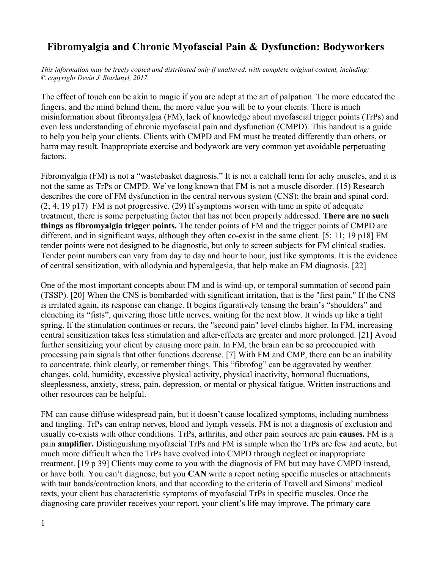## **Fibromyalgia and Chronic Myofascial Pain & Dysfunction: Bodyworkers**

*This information may be freely copied and distributed only if unaltered, with complete original content, including: © copyright Devin J. Starlanyl, 2017.*

The effect of touch can be akin to magic if you are adept at the art of palpation. The more educated the fingers, and the mind behind them, the more value you will be to your clients. There is much misinformation about fibromyalgia (FM), lack of knowledge about myofascial trigger points (TrPs) and even less understanding of chronic myofascial pain and dysfunction (CMPD). This handout is a guide to help you help your clients. Clients with CMPD and FM must be treated differently than others, or harm may result. Inappropriate exercise and bodywork are very common yet avoidable perpetuating factors.

Fibromyalgia (FM) is not a "wastebasket diagnosis." It is not a catchall term for achy muscles, and it is not the same as TrPs or CMPD. We've long known that FM is not a muscle disorder. (15) Research describes the core of FM dysfunction in the central nervous system (CNS); the brain and spinal cord. (2; 4; 19 p17) FM is not progressive. (29) If symptoms worsen with time in spite of adequate treatment, there is some perpetuating factor that has not been properly addressed. **There are no such things as fibromyalgia trigger points.** The tender points of FM and the trigger points of CMPD are different, and in significant ways, although they often co-exist in the same client. [5; 11; 19 p18] FM tender points were not designed to be diagnostic, but only to screen subjects for FM clinical studies. Tender point numbers can vary from day to day and hour to hour, just like symptoms. It is the evidence of central sensitization, with allodynia and hyperalgesia, that help make an FM diagnosis. [22]

One of the most important concepts about FM and is wind-up, or temporal summation of second pain (TSSP). [20] When the CNS is bombarded with significant irritation, that is the "first pain." If the CNS is irritated again, its response can change. It begins figuratively tensing the brain's "shoulders" and clenching its "fists", quivering those little nerves, waiting for the next blow. It winds up like a tight spring. If the stimulation continues or recurs, the "second pain" level climbs higher. In FM, increasing central sensitization takes less stimulation and after-effects are greater and more prolonged. [21] Avoid further sensitizing your client by causing more pain. In FM, the brain can be so preoccupied with processing pain signals that other functions decrease. [7] With FM and CMP, there can be an inability to concentrate, think clearly, or remember things. This "fibrofog" can be aggravated by weather changes, cold, humidity, excessive physical activity, physical inactivity, hormonal fluctuations, sleeplessness, anxiety, stress, pain, depression, or mental or physical fatigue. Written instructions and other resources can be helpful.

FM can cause diffuse widespread pain, but it doesn't cause localized symptoms, including numbness and tingling. TrPs can entrap nerves, blood and lymph vessels. FM is not a diagnosis of exclusion and usually co-exists with other conditions. TrPs, arthritis, and other pain sources are pain **causes.** FM is a pain **amplifier.** Distinguishing myofascial TrPs and FM is simple when the TrPs are few and acute, but much more difficult when the TrPs have evolved into CMPD through neglect or inappropriate treatment. [19 p 39] Clients may come to you with the diagnosis of FM but may have CMPD instead, or have both. You can't diagnose, but you **CAN** write a report noting specific muscles or attachments with taut bands/contraction knots, and that according to the criteria of Travell and Simons' medical texts, your client has characteristic symptoms of myofascial TrPs in specific muscles. Once the diagnosing care provider receives your report, your client's life may improve. The primary care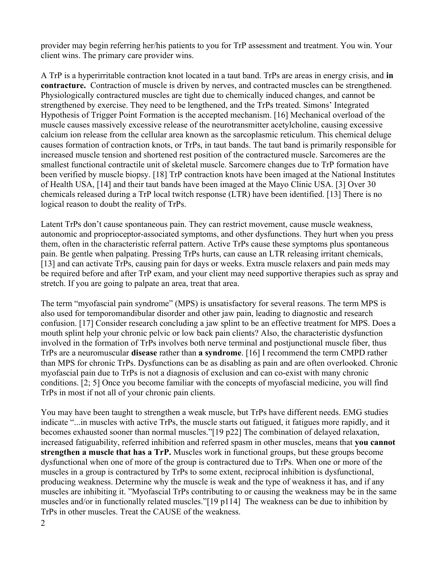provider may begin referring her/his patients to you for TrP assessment and treatment. You win. Your client wins. The primary care provider wins.

A TrP is a hyperirritable contraction knot located in a taut band. TrPs are areas in energy crisis, and **in contracture.** Contraction of muscle is driven by nerves, and contracted muscles can be strengthened. Physiologically contractured muscles are tight due to chemically induced changes, and cannot be strengthened by exercise. They need to be lengthened, and the TrPs treated. Simons' Integrated Hypothesis of Trigger Point Formation is the accepted mechanism. [16] Mechanical overload of the muscle causes massively excessive release of the neurotransmitter acetylcholine, causing excessive calcium ion release from the cellular area known as the sarcoplasmic reticulum. This chemical deluge causes formation of contraction knots, or TrPs, in taut bands. The taut band is primarily responsible for increased muscle tension and shortened rest position of the contractured muscle. Sarcomeres are the smallest functional contractile unit of skeletal muscle. Sarcomere changes due to TrP formation have been verified by muscle biopsy. [18] TrP contraction knots have been imaged at the National Institutes of Health USA, [14] and their taut bands have been imaged at the Mayo Clinic USA. [3] Over 30 chemicals released during a TrP local twitch response (LTR) have been identified. [13] There is no logical reason to doubt the reality of TrPs.

Latent TrPs don't cause spontaneous pain. They can restrict movement, cause muscle weakness, autonomic and proprioceptor-associated symptoms, and other dysfunctions. They hurt when you press them, often in the characteristic referral pattern. Active TrPs cause these symptoms plus spontaneous pain. Be gentle when palpating. Pressing TrPs hurts, can cause an LTR releasing irritant chemicals, [13] and can activate TrPs, causing pain for days or weeks. Extra muscle relaxers and pain meds may be required before and after TrP exam, and your client may need supportive therapies such as spray and stretch. If you are going to palpate an area, treat that area.

The term "myofascial pain syndrome" (MPS) is unsatisfactory for several reasons. The term MPS is also used for temporomandibular disorder and other jaw pain, leading to diagnostic and research confusion. [17] Consider research concluding a jaw splint to be an effective treatment for MPS. Does a mouth splint help your chronic pelvic or low back pain clients? Also, the characteristic dysfunction involved in the formation of TrPs involves both nerve terminal and postjunctional muscle fiber, thus TrPs are a neuromuscular **disease** rather than **a syndrome**. [16] I recommend the term CMPD rather than MPS for chronic TrPs. Dysfunctions can be as disabling as pain and are often overlooked. Chronic myofascial pain due to TrPs is not a diagnosis of exclusion and can co-exist with many chronic conditions. [2; 5] Once you become familiar with the concepts of myofascial medicine, you will find TrPs in most if not all of your chronic pain clients.

You may have been taught to strengthen a weak muscle, but TrPs have different needs. EMG studies indicate "...in muscles with active TrPs, the muscle starts out fatigued, it fatigues more rapidly, and it becomes exhausted sooner than normal muscles."[19 p22] The combination of delayed relaxation, increased fatiguability, referred inhibition and referred spasm in other muscles, means that **you cannot strengthen a muscle that has a TrP.** Muscles work in functional groups, but these groups become dysfunctional when one of more of the group is contractured due to TrPs. When one or more of the muscles in a group is contractured by TrPs to some extent, reciprocal inhibition is dysfunctional, producing weakness. Determine why the muscle is weak and the type of weakness it has, and if any muscles are inhibiting it. "Myofascial TrPs contributing to or causing the weakness may be in the same muscles and/or in functionally related muscles."[19 p114] The weakness can be due to inhibition by TrPs in other muscles. Treat the CAUSE of the weakness.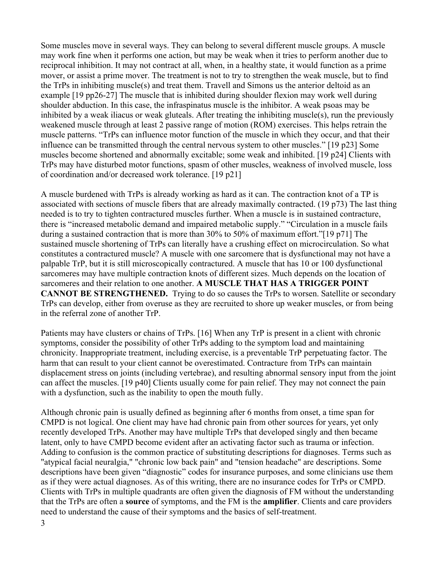Some muscles move in several ways. They can belong to several different muscle groups. A muscle may work fine when it performs one action, but may be weak when it tries to perform another due to reciprocal inhibition. It may not contract at all, when, in a healthy state, it would function as a prime mover, or assist a prime mover. The treatment is not to try to strengthen the weak muscle, but to find the TrPs in inhibiting muscle(s) and treat them. Travell and Simons us the anterior deltoid as an example [19 pp26-27] The muscle that is inhibited during shoulder flexion may work well during shoulder abduction. In this case, the infraspinatus muscle is the inhibitor. A weak psoas may be inhibited by a weak iliacus or weak gluteals. After treating the inhibiting muscle(s), run the previously weakened muscle through at least 2 passive range of motion (ROM) exercises. This helps retrain the muscle patterns. "TrPs can influence motor function of the muscle in which they occur, and that their influence can be transmitted through the central nervous system to other muscles." [19 p23] Some muscles become shortened and abnormally excitable; some weak and inhibited. [19 p24] Clients with TrPs may have disturbed motor functions, spasm of other muscles, weakness of involved muscle, loss of coordination and/or decreased work tolerance. [19 p21]

A muscle burdened with TrPs is already working as hard as it can. The contraction knot of a TP is associated with sections of muscle fibers that are already maximally contracted. (19 p73) The last thing needed is to try to tighten contractured muscles further. When a muscle is in sustained contracture, there is "increased metabolic demand and impaired metabolic supply." "Circulation in a muscle fails during a sustained contraction that is more than 30% to 50% of maximum effort."[19 p71] The sustained muscle shortening of TrPs can literally have a crushing effect on microcirculation. So what constitutes a contractured muscle? A muscle with one sarcomere that is dysfunctional may not have a palpable TrP, but it is still microscopically contractured. A muscle that has 10 or 100 dysfunctional sarcomeres may have multiple contraction knots of different sizes. Much depends on the location of sarcomeres and their relation to one another. **A MUSCLE THAT HAS A TRIGGER POINT CANNOT BE STRENGTHENED.** Trying to do so causes the TrPs to worsen. Satellite or secondary TrPs can develop, either from overuse as they are recruited to shore up weaker muscles, or from being in the referral zone of another TrP.

Patients may have clusters or chains of TrPs. [16] When any TrP is present in a client with chronic symptoms, consider the possibility of other TrPs adding to the symptom load and maintaining chronicity. Inappropriate treatment, including exercise, is a preventable TrP perpetuating factor. The harm that can result to your client cannot be overestimated. Contracture from TrPs can maintain displacement stress on joints (including vertebrae), and resulting abnormal sensory input from the joint can affect the muscles. [19 p40] Clients usually come for pain relief. They may not connect the pain with a dysfunction, such as the inability to open the mouth fully.

Although chronic pain is usually defined as beginning after 6 months from onset, a time span for CMPD is not logical. One client may have had chronic pain from other sources for years, yet only recently developed TrPs. Another may have multiple TrPs that developed singly and then became latent, only to have CMPD become evident after an activating factor such as trauma or infection. Adding to confusion is the common practice of substituting descriptions for diagnoses. Terms such as "atypical facial neuralgia," "chronic low back pain" and "tension headache" are descriptions. Some descriptions have been given "diagnostic" codes for insurance purposes, and some clinicians use them as if they were actual diagnoses. As of this writing, there are no insurance codes for TrPs or CMPD. Clients with TrPs in multiple quadrants are often given the diagnosis of FM without the understanding that the TrPs are often a **source** of symptoms, and the FM is the **amplifier**. Clients and care providers need to understand the cause of their symptoms and the basics of self-treatment.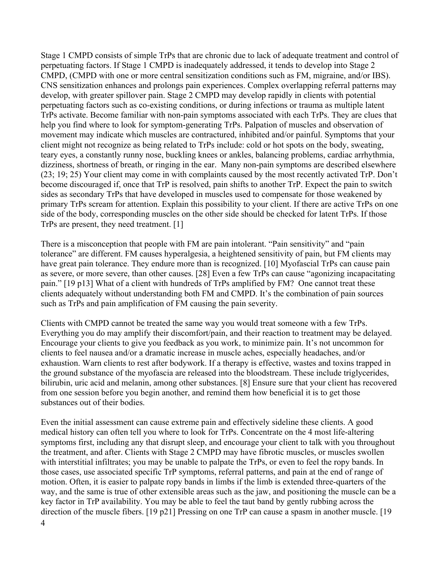Stage 1 CMPD consists of simple TrPs that are chronic due to lack of adequate treatment and control of perpetuating factors. If Stage 1 CMPD is inadequately addressed, it tends to develop into Stage 2 CMPD, (CMPD with one or more central sensitization conditions such as FM, migraine, and/or IBS). CNS sensitization enhances and prolongs pain experiences. Complex overlapping referral patterns may develop, with greater spillover pain. Stage 2 CMPD may develop rapidly in clients with potential perpetuating factors such as co-existing conditions, or during infections or trauma as multiple latent TrPs activate. Become familiar with non-pain symptoms associated with each TrPs. They are clues that help you find where to look for symptom-generating TrPs. Palpation of muscles and observation of movement may indicate which muscles are contractured, inhibited and/or painful. Symptoms that your client might not recognize as being related to TrPs include: cold or hot spots on the body, sweating, teary eyes, a constantly runny nose, buckling knees or ankles, balancing problems, cardiac arrhythmia, dizziness, shortness of breath, or ringing in the ear. Many non-pain symptoms are described elsewhere (23; 19; 25) Your client may come in with complaints caused by the most recently activated TrP. Don't become discouraged if, once that TrP is resolved, pain shifts to another TrP. Expect the pain to switch sides as secondary TrPs that have developed in muscles used to compensate for those weakened by primary TrPs scream for attention. Explain this possibility to your client. If there are active TrPs on one side of the body, corresponding muscles on the other side should be checked for latent TrPs. If those TrPs are present, they need treatment. [1]

There is a misconception that people with FM are pain intolerant. "Pain sensitivity" and "pain tolerance" are different. FM causes hyperalgesia, a heightened sensitivity of pain, but FM clients may have great pain tolerance. They endure more than is recognized. [10] Myofascial TrPs can cause pain as severe, or more severe, than other causes. [28] Even a few TrPs can cause "agonizing incapacitating pain." [19 p13] What of a client with hundreds of TrPs amplified by FM? One cannot treat these clients adequately without understanding both FM and CMPD. It's the combination of pain sources such as TrPs and pain amplification of FM causing the pain severity.

Clients with CMPD cannot be treated the same way you would treat someone with a few TrPs. Everything you do may amplify their discomfort/pain, and their reaction to treatment may be delayed. Encourage your clients to give you feedback as you work, to minimize pain. It's not uncommon for clients to feel nausea and/or a dramatic increase in muscle aches, especially headaches, and/or exhaustion. Warn clients to rest after bodywork. If a therapy is effective, wastes and toxins trapped in the ground substance of the myofascia are released into the bloodstream. These include triglycerides, bilirubin, uric acid and melanin, among other substances. [8] Ensure sure that your client has recovered from one session before you begin another, and remind them how beneficial it is to get those substances out of their bodies.

Even the initial assessment can cause extreme pain and effectively sideline these clients. A good medical history can often tell you where to look for TrPs. Concentrate on the 4 most life-altering symptoms first, including any that disrupt sleep, and encourage your client to talk with you throughout the treatment, and after. Clients with Stage 2 CMPD may have fibrotic muscles, or muscles swollen with interstitial infiltrates; you may be unable to palpate the TrPs, or even to feel the ropy bands. In those cases, use associated specific TrP symptoms, referral patterns, and pain at the end of range of motion. Often, it is easier to palpate ropy bands in limbs if the limb is extended three-quarters of the way, and the same is true of other extensible areas such as the jaw, and positioning the muscle can be a key factor in TrP availability. You may be able to feel the taut band by gently rubbing across the direction of the muscle fibers. [19 p21] Pressing on one TrP can cause a spasm in another muscle. [19 4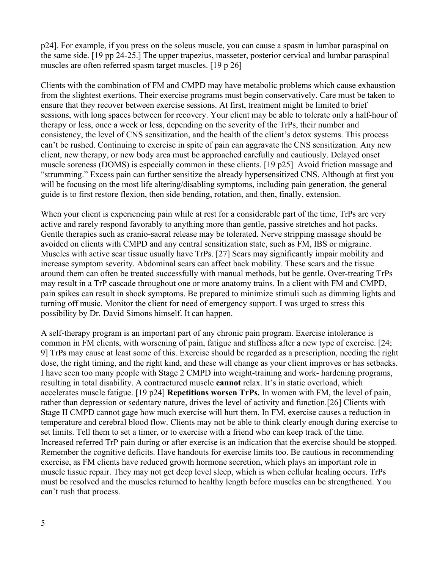p24]. For example, if you press on the soleus muscle, you can cause a spasm in lumbar paraspinal on the same side. [19 pp 24-25.] The upper trapezius, masseter, posterior cervical and lumbar paraspinal muscles are often referred spasm target muscles. [19 p 26]

Clients with the combination of FM and CMPD may have metabolic problems which cause exhaustion from the slightest exertions. Their exercise programs must begin conservatively. Care must be taken to ensure that they recover between exercise sessions. At first, treatment might be limited to brief sessions, with long spaces between for recovery. Your client may be able to tolerate only a half-hour of therapy or less, once a week or less, depending on the severity of the TrPs, their number and consistency, the level of CNS sensitization, and the health of the client's detox systems. This process can't be rushed. Continuing to exercise in spite of pain can aggravate the CNS sensitization. Any new client, new therapy, or new body area must be approached carefully and cautiously. Delayed onset muscle soreness (DOMS) is especially common in these clients. [19 p25] Avoid friction massage and "strumming." Excess pain can further sensitize the already hypersensitized CNS. Although at first you will be focusing on the most life altering/disabling symptoms, including pain generation, the general guide is to first restore flexion, then side bending, rotation, and then, finally, extension.

When your client is experiencing pain while at rest for a considerable part of the time, TrPs are very active and rarely respond favorably to anything more than gentle, passive stretches and hot packs. Gentle therapies such as cranio-sacral release may be tolerated. Nerve stripping massage should be avoided on clients with CMPD and any central sensitization state, such as FM, IBS or migraine. Muscles with active scar tissue usually have TrPs. [27] Scars may significantly impair mobility and increase symptom severity. Abdominal scars can affect back mobility. These scars and the tissue around them can often be treated successfully with manual methods, but be gentle. Over-treating TrPs may result in a TrP cascade throughout one or more anatomy trains. In a client with FM and CMPD, pain spikes can result in shock symptoms. Be prepared to minimize stimuli such as dimming lights and turning off music. Monitor the client for need of emergency support. I was urged to stress this possibility by Dr. David Simons himself. It can happen.

A self-therapy program is an important part of any chronic pain program. Exercise intolerance is common in FM clients, with worsening of pain, fatigue and stiffness after a new type of exercise. [24; 9] TrPs may cause at least some of this. Exercise should be regarded as a prescription, needing the right dose, the right timing, and the right kind, and these will change as your client improves or has setbacks. I have seen too many people with Stage 2 CMPD into weight-training and work- hardening programs, resulting in total disability. A contractured muscle **cannot** relax. It's in static overload, which accelerates muscle fatigue. [19 p24] **Repetitions worsen TrPs.** In women with FM, the level of pain, rather than depression or sedentary nature, drives the level of activity and function.[26] Clients with Stage II CMPD cannot gage how much exercise will hurt them. In FM, exercise causes a reduction in temperature and cerebral blood flow. Clients may not be able to think clearly enough during exercise to set limits. Tell them to set a timer, or to exercise with a friend who can keep track of the time. Increased referred TrP pain during or after exercise is an indication that the exercise should be stopped. Remember the cognitive deficits. Have handouts for exercise limits too. Be cautious in recommending exercise, as FM clients have reduced growth hormone secretion, which plays an important role in muscle tissue repair. They may not get deep level sleep, which is when cellular healing occurs. TrPs must be resolved and the muscles returned to healthy length before muscles can be strengthened. You can't rush that process.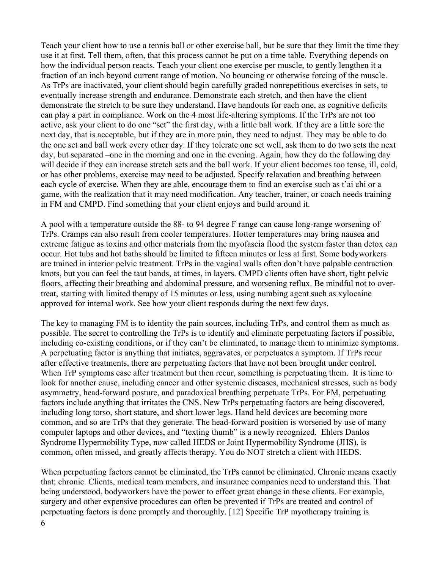Teach your client how to use a tennis ball or other exercise ball, but be sure that they limit the time they use it at first. Tell them, often, that this process cannot be put on a time table. Everything depends on how the individual person reacts. Teach your client one exercise per muscle, to gently lengthen it a fraction of an inch beyond current range of motion. No bouncing or otherwise forcing of the muscle. As TrPs are inactivated, your client should begin carefully graded nonrepetitious exercises in sets, to eventually increase strength and endurance. Demonstrate each stretch, and then have the client demonstrate the stretch to be sure they understand. Have handouts for each one, as cognitive deficits can play a part in compliance. Work on the 4 most life-altering symptoms. If the TrPs are not too active, ask your client to do one "set" the first day, with a little ball work. If they are a little sore the next day, that is acceptable, but if they are in more pain, they need to adjust. They may be able to do the one set and ball work every other day. If they tolerate one set well, ask them to do two sets the next day, but separated –one in the morning and one in the evening. Again, how they do the following day will decide if they can increase stretch sets and the ball work. If your client becomes too tense, ill, cold, or has other problems, exercise may need to be adjusted. Specify relaxation and breathing between each cycle of exercise. When they are able, encourage them to find an exercise such as t'ai chi or a game, with the realization that it may need modification. Any teacher, trainer, or coach needs training in FM and CMPD. Find something that your client enjoys and build around it.

A pool with a temperature outside the 88- to 94 degree F range can cause long-range worsening of TrPs. Cramps can also result from cooler temperatures. Hotter temperatures may bring nausea and extreme fatigue as toxins and other materials from the myofascia flood the system faster than detox can occur. Hot tubs and hot baths should be limited to fifteen minutes or less at first. Some bodyworkers are trained in interior pelvic treatment. TrPs in the vaginal walls often don't have palpable contraction knots, but you can feel the taut bands, at times, in layers. CMPD clients often have short, tight pelvic floors, affecting their breathing and abdominal pressure, and worsening reflux. Be mindful not to overtreat, starting with limited therapy of 15 minutes or less, using numbing agent such as xylocaine approved for internal work. See how your client responds during the next few days.

The key to managing FM is to identity the pain sources, including TrPs, and control them as much as possible. The secret to controlling the TrPs is to identify and eliminate perpetuating factors if possible, including co-existing conditions, or if they can't be eliminated, to manage them to minimize symptoms. A perpetuating factor is anything that initiates, aggravates, or perpetuates a symptom. If TrPs recur after effective treatments, there are perpetuating factors that have not been brought under control. When TrP symptoms ease after treatment but then recur, something is perpetuating them. It is time to look for another cause, including cancer and other systemic diseases, mechanical stresses, such as body asymmetry, head-forward posture, and paradoxical breathing perpetuate TrPs. For FM, perpetuating factors include anything that irritates the CNS. New TrPs perpetuating factors are being discovered, including long torso, short stature, and short lower legs. Hand held devices are becoming more common, and so are TrPs that they generate. The head-forward position is worsened by use of many computer laptops and other devices, and "texting thumb" is a newly recognized. Ehlers Danlos Syndrome Hypermobility Type, now called HEDS or Joint Hypermobility Syndrome (JHS), is common, often missed, and greatly affects therapy. You do NOT stretch a client with HEDS.

When perpetuating factors cannot be eliminated, the TrPs cannot be eliminated. Chronic means exactly that; chronic. Clients, medical team members, and insurance companies need to understand this. That being understood, bodyworkers have the power to effect great change in these clients. For example, surgery and other expensive procedures can often be prevented if TrPs are treated and control of perpetuating factors is done promptly and thoroughly. [12] Specific TrP myotherapy training is 6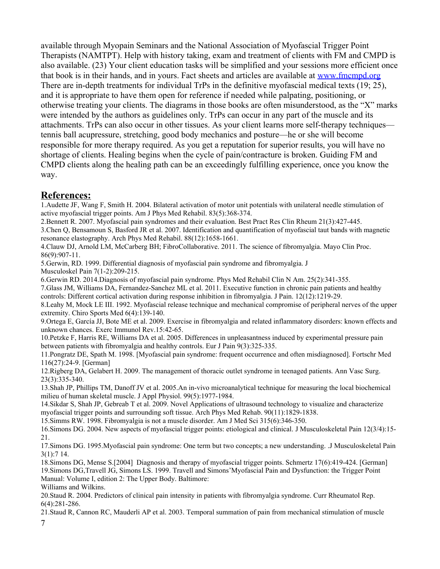available through Myopain Seminars and the National Association of Myofascial Trigger Point Therapists (NAMTPT). Help with history taking, exam and treatment of clients with FM and CMPD is also available. (23) Your client education tasks will be simplified and your sessions more efficient once that book is in their hands, and in yours. Fact sheets and articles are available at [www.fmcmpd.org](http://www.fmcmpd.org/)  There are in-depth treatments for individual TrPs in the definitive myofascial medical texts (19; 25), and it is appropriate to have them open for reference if needed while palpating, positioning, or otherwise treating your clients. The diagrams in those books are often misunderstood, as the "X" marks were intended by the authors as guidelines only. TrPs can occur in any part of the muscle and its attachments. TrPs can also occur in other tissues. As your client learns more self-therapy techniques tennis ball acupressure, stretching, good body mechanics and posture—he or she will become responsible for more therapy required. As you get a reputation for superior results, you will have no shortage of clients. Healing begins when the cycle of pain/contracture is broken. Guiding FM and CMPD clients along the healing path can be an exceedingly fulfilling experience, once you know the way.

## **References:**

1.Audette JF, Wang F, Smith H. 2004. Bilateral activation of motor unit potentials with unilateral needle stimulation of active myofascial trigger points. Am J Phys Med Rehabil. 83(5):368-374.

2.Bennett R. 2007. Myofascial pain syndromes and their evaluation. Best Pract Res Clin Rheum 21(3):427-445.

3.Chen Q, Bensamoun S, Basford JR et al. 2007. Identification and quantification of myofascial taut bands with magnetic resonance elastography. Arch Phys Med Rehabil. 88(12):1658-1661.

4.Clauw DJ, Arnold LM, McCarberg BH; FibroCollaborative. 2011. The science of fibromyalgia. Mayo Clin Proc. 86(9):907-11.

5.Gerwin, RD. 1999. Differential diagnosis of myofascial pain syndrome and fibromyalgia. J Musculoskel Pain 7(1-2):209-215.

6.Gerwin RD. 2014.Diagnosis of myofascial pain syndrome. Phys Med Rehabil Clin N Am. 25(2):341-355.

7.Glass JM, Williams DA, Fernandez-Sanchez ML et al. 2011. Executive function in chronic pain patients and healthy controls: Different cortical activation during response inhibition in fibromyalgia. J Pain. 12(12):1219-29.

8.Leahy M, Mock LE III. 1992. Myofascial release technique and mechanical compromise of peripheral nerves of the upper extremity. Chiro Sports Med 6(4):139-140.

9.Ortega E, García JJ, Bote ME et al. 2009. Exercise in fibromyalgia and related inflammatory disorders: known effects and unknown chances. Exerc Immunol Rev.15:42-65.

10.Petzke F, Harris RE, Williams DA et al. 2005. Differences in unpleasantness induced by experimental pressure pain between patients with fibromyalgia and healthy controls. Eur J Pain 9(3):325-335.

11.Pongratz DE, Spath M. 1998. [Myofascial pain syndrome: frequent occurrence and often misdiagnosed]. Fortschr Med 116(27):24-9. [German]

12.Rigberg DA, Gelabert H. 2009. The management of thoracic outlet syndrome in teenaged patients. Ann Vasc Surg. 23(3):335-340.

13.Shah JP, Phillips TM, Danoff JV et al. 2005.An in-vivo microanalytical technique for measuring the local biochemical milieu of human skeletal muscle. J Appl Physiol. 99(5):1977-1984.

14.Sikdar S, Shah JP, Gebreab T et al. 2009. Novel Applications of ultrasound technology to visualize and characterize myofascial trigger points and surrounding soft tissue. Arch Phys Med Rehab. 90(11):1829-1838.

15.Simms RW. 1998. Fibromyalgia is not a muscle disorder. Am J Med Sci 315(6):346-350.

16.Simons DG. 2004. New aspects of myofascial trigger points: etiological and clinical. J Musculoskeletal Pain 12(3/4):15- 21.

17.Simons DG. 1995.Myofascial pain syndrome: One term but two concepts; a new understanding. .J Musculoskeletal Pain 3(1):7 14.

18.Simons DG, Mense S.[2004] Diagnosis and therapy of myofascial trigger points. Schmertz 17(6):419-424. [German] 19.Simons DG,Travell JG, Simons LS. 1999. Travell and Simons'Myofascial Pain and Dysfunction: the Trigger Point Manual: Volume I, edition 2: The Upper Body. Baltimore:

Williams and Wilkins.

20.Staud R. 2004. Predictors of clinical pain intensity in patients with fibromyalgia syndrome. Curr Rheumatol Rep. 6(4):281-286.

21.Staud R, Cannon RC, Mauderli AP et al. 2003. Temporal summation of pain from mechanical stimulation of muscle 7